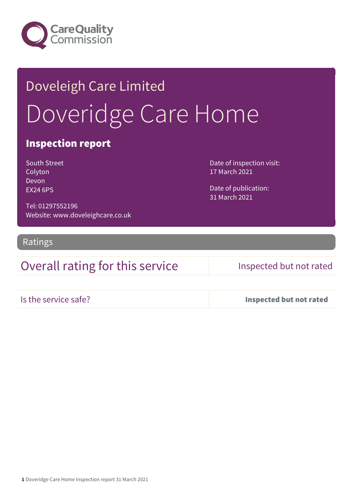

# Doveleigh Care Limited Doveridge Care Home

### Inspection report

| South Street    |
|-----------------|
| Colyton         |
| Devon           |
| <b>EX24 6PS</b> |

Date of inspection visit: 17 March 2021

Date of publication: 31 March 2021

Tel: 01297552196 Website: www.doveleighcare.co.uk

Ratings

### Overall rating for this service Inspected but not rated

Is the service safe? Inspected but not rated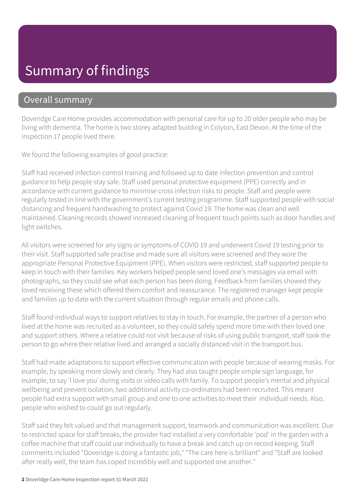## Summary of findings

### Overall summary

Doveridge Care Home provides accommodation with personal care for up to 20 older people who may be living with dementia. The home is two storey adapted building in Colyton, East Devon. At the time of the inspection 17 people lived there.

We found the following examples of good practice:

Staff had received infection control training and followed up to date infection prevention and control guidance to help people stay safe. Staff used personal protective equipment (PPE) correctly and in accordance with current guidance to minimise cross infection risks to people. Staff and people were regularly tested in line with the government's current testing programme. Staff supported people with social distancing and frequent handwashing to protect against Covid 19. The home was clean and well maintained. Cleaning records showed increased cleaning of frequent touch points such as door handles and light switches.

All visitors were screened for any signs or symptoms of COVID 19 and underwent Covid 19 testing prior to their visit. Staff supported safe practise and made sure all visitors were screened and they wore the appropriate Personal Protective Equipment (PPE). When visitors were restricted, staff supported people to keep in touch with their families. Key workers helped people send loved one's messages via email with photographs, so they could see what each person has been doing. Feedback from families showed they loved receiving these which offered them comfort and reassurance. The registered manager kept people and families up to date with the current situation through regular emails and phone calls.

Staff found individual ways to support relatives to stay in touch. For example, the partner of a person who lived at the home was recruited as a volunteer, so they could safely spend more time with their loved one and support others. Where a relative could not visit because of risks of using public transport, staff took the person to go where their relative lived and arranged a socially distanced visit in the transport bus.

Staff had made adaptations to support effective communication with people because of wearing masks. For example, by speaking more slowly and clearly. They had also taught people simple sign language, for example, to say 'I love you' during visits or video calls with family. To support people's mental and physical wellbeing and prevent isolation, two additional activity co-ordinators had been recruited. This meant people had extra support with small group and one to one activities to meet their individual needs. Also, people who wished to could go out regularly.

Staff said they felt valued and that management support, teamwork and communication was excellent. Due to restricted space for staff breaks, the provider had installed a very comfortable 'pod' in the garden with a coffee machine that staff could use individually to have a break and catch up on record keeping. Staff comments included "Doveridge is doing a fantastic job," "The care here is brilliant" and "Staff are looked after really well, the team has coped incredibly well and supported one another."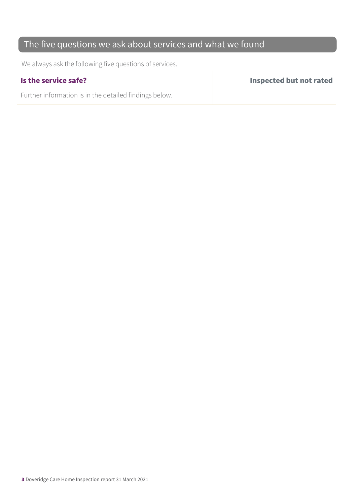### The five questions we ask about services and what we found

We always ask the following five questions of services.

Further information is in the detailed findings below.

Is the service safe? Inspected but not rated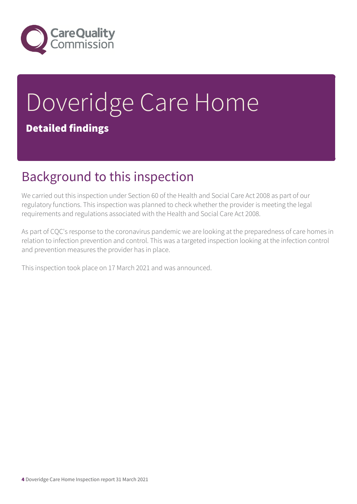

# Doveridge Care Home Detailed findings

## Background to this inspection

We carried out this inspection under Section 60 of the Health and Social Care Act 2008 as part of our regulatory functions. This inspection was planned to check whether the provider is meeting the legal requirements and regulations associated with the Health and Social Care Act 2008.

As part of CQC's response to the coronavirus pandemic we are looking at the preparedness of care homes in relation to infection prevention and control. This was a targeted inspection looking at the infection control and prevention measures the provider has in place.

This inspection took place on 17 March 2021 and was announced.